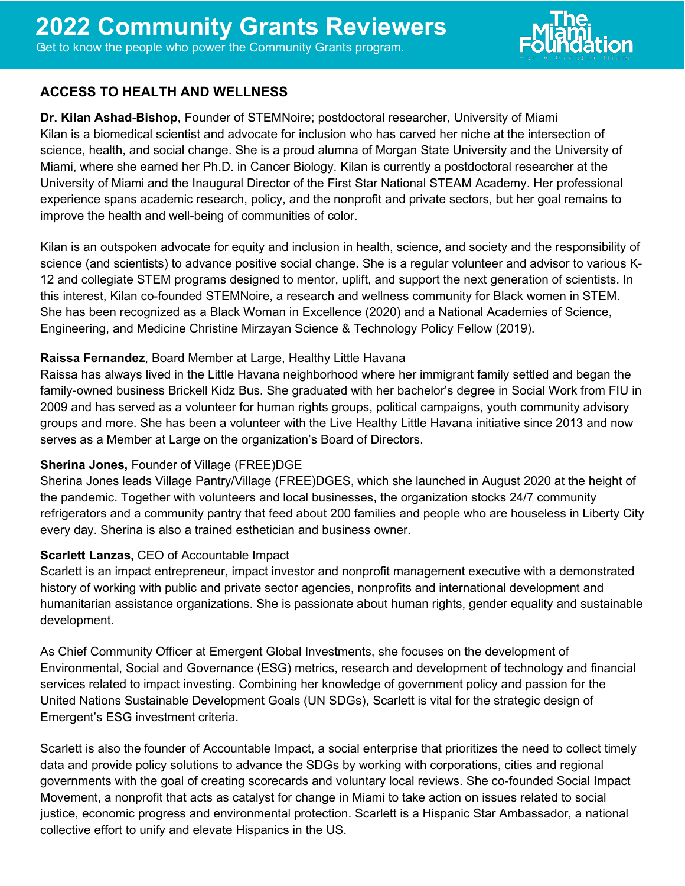

# **ACCESS TO HEALTH AND WELLNESS**

**Dr. Kilan Ashad-Bishop,** Founder of STEMNoire; postdoctoral researcher, University of Miami Kilan is a biomedical scientist and advocate for inclusion who has carved her niche at the intersection of science, health, and social change. She is a proud alumna of Morgan State University and the University of Miami, where she earned her Ph.D. in Cancer Biology. Kilan is currently a postdoctoral researcher at the University of Miami and the Inaugural Director of the First Star National STEAM Academy. Her professional experience spans academic research, policy, and the nonprofit and private sectors, but her goal remains to improve the health and well-being of communities of color.

Kilan is an outspoken advocate for equity and inclusion in health, science, and society and the responsibility of science (and scientists) to advance positive social change. She is a regular volunteer and advisor to various K-12 and collegiate STEM programs designed to mentor, uplift, and support the next generation of scientists. In this interest, Kilan co-founded [STEMNoire,](https://stemnoire.org/) a research and wellness community for Black women in STEM. She has been recognized as a Black Woman in Excellence (2020) and a National Academies of Science, Engineering, and Medicine Christine Mirzayan Science & Technology Policy Fellow (2019).

### **Raissa Fernandez**, Board Member at Large, Healthy Little Havana

Raissa has always lived in the Little Havana neighborhood where her immigrant family settled and began the family-owned business Brickell Kidz Bus. She graduated with her bachelor's degree in Social Work from FIU in 2009 and has served as a volunteer for human rights groups, political campaigns, youth community advisory groups and more. She has been a volunteer with the Live Healthy Little Havana initiative since 2013 and now serves as a Member at Large on the organization's Board of Directors.

### **Sherina Jones,** Founder of Village (FREE)DGE

Sherina Jones leads Village Pantry/Village (FREE)DGES, which she launched in August 2020 at the height of the pandemic. Together with volunteers and local businesses, the organization stocks 24/7 community refrigerators and a community pantry that feed about 200 families and people who are houseless in Liberty City every day. Sherina is also a trained esthetician and business owner.

### **Scarlett Lanzas,** CEO of Accountable Impact

Scarlett is an impact entrepreneur, impact investor and nonprofit management executive with a demonstrated history of working with public and private sector agencies, nonprofits and international development and humanitarian assistance organizations. She is passionate about human rights, gender equality and sustainable development.

As Chief Community Officer at Emergent Global Investments, she focuses on the development of Environmental, Social and Governance (ESG) metrics, research and development of technology and financial services related to impact investing. Combining her knowledge of government policy and passion for the United Nations Sustainable Development Goals (UN SDGs), Scarlett is vital for the strategic design of Emergent's ESG investment criteria.

Scarlett is also the founder of Accountable Impact, a social enterprise that prioritizes the need to collect timely data and provide policy solutions to advance the SDGs by working with corporations, cities and regional governments with the goal of creating scorecards and voluntary local reviews. She co-founded Social Impact Movement, a nonprofit that acts as catalyst for change in Miami to take action on issues related to social justice, economic progress and environmental protection. Scarlett is a Hispanic Star Ambassador, a national collective effort to unify and elevate Hispanics in the US.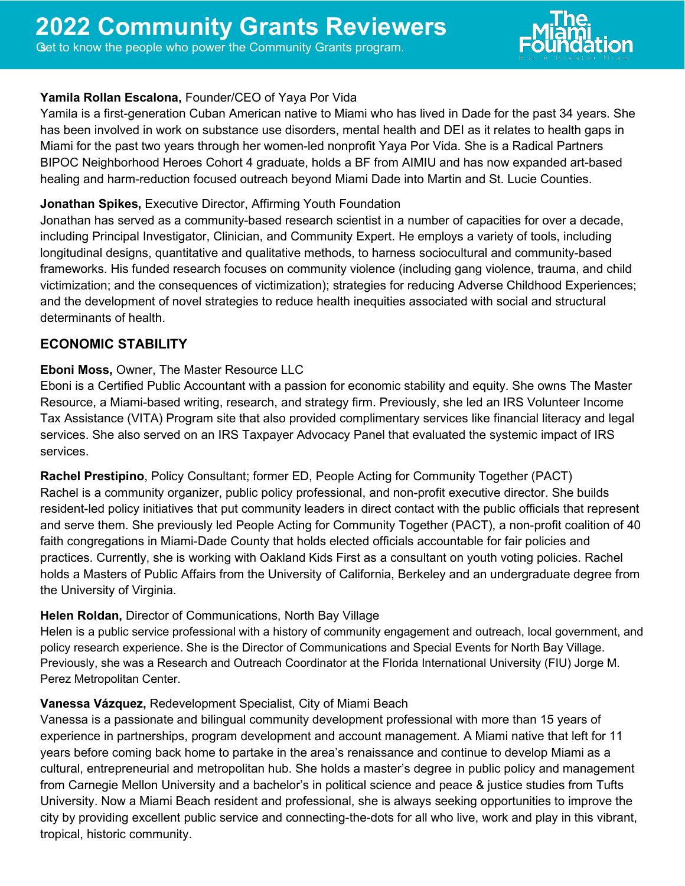

### **Yamila Rollan Escalona,** Founder/CEO of Yaya Por Vida

Yamila is a first-generation Cuban American native to Miami who has lived in Dade for the past 34 years. She has been involved in work on substance use disorders, mental health and DEI as it relates to health gaps in Miami for the past two years through her women-led nonprofit Yaya Por Vida. She is a Radical Partners BIPOC Neighborhood Heroes Cohort 4 graduate, holds a BF from AIMIU and has now expanded art-based healing and harm-reduction focused outreach beyond Miami Dade into Martin and St. Lucie Counties.

#### **Jonathan Spikes,** Executive Director, Affirming Youth Foundation

Jonathan has served as a community-based research scientist in a number of capacities for over a decade, including Principal Investigator, Clinician, and Community Expert. He employs a variety of tools, including longitudinal designs, quantitative and qualitative methods, to harness sociocultural and community-based frameworks. His funded research focuses on community violence (including gang violence, trauma, and child victimization; and the consequences of victimization); strategies for reducing Adverse Childhood Experiences; and the development of novel strategies to reduce health inequities associated with social and structural determinants of health.

### **ECONOMIC STABILITY**

#### **Eboni Moss,** Owner, The Master Resource LLC

Eboni is a Certified Public Accountant with a passion for economic stability and equity. She owns The Master Resource, a Miami-based writing, research, and strategy firm. Previously, she led an IRS Volunteer Income Tax Assistance (VITA) Program site that also provided complimentary services like financial literacy and legal services. She also served on an IRS Taxpayer Advocacy Panel that evaluated the systemic impact of IRS services.

**Rachel Prestipino**, Policy Consultant; former ED, People Acting for Community Together (PACT) Rachel is a community organizer, public policy professional, and non-profit executive director. She builds resident-led policy initiatives that put community leaders in direct contact with the public officials that represent and serve them. She previously led People Acting for Community Together (PACT), a non-profit coalition of 40 faith congregations in Miami-Dade County that holds elected officials accountable for fair policies and practices. Currently, she is working with Oakland Kids First as a consultant on youth voting policies. Rachel holds a Masters of Public Affairs from the University of California, Berkeley and an undergraduate degree from the University of Virginia.

### **Helen Roldan,** Director of Communications, North Bay Village

Helen is a public service professional with a history of community engagement and outreach, local government, and policy research experience. She is the Director of Communications and Special Events for North Bay Village. Previously, she was a Research and Outreach Coordinator at the Florida International University (FIU) Jorge M. Perez Metropolitan Center.

#### **Vanessa Vázquez,** Redevelopment Specialist, City of Miami Beach

Vanessa is a passionate and bilingual community development professional with more than 15 years of experience in partnerships, program development and account management. A Miami native that left for 11 years before coming back home to partake in the area's renaissance and continue to develop Miami as a cultural, entrepreneurial and metropolitan hub. She holds a master's degree in public policy and management from Carnegie Mellon University and a bachelor's in political science and peace & justice studies from Tufts University. Now a Miami Beach resident and professional, she is always seeking opportunities to improve the city by providing excellent public service and connecting-the-dots for all who live, work and play in this vibrant, tropical, historic community.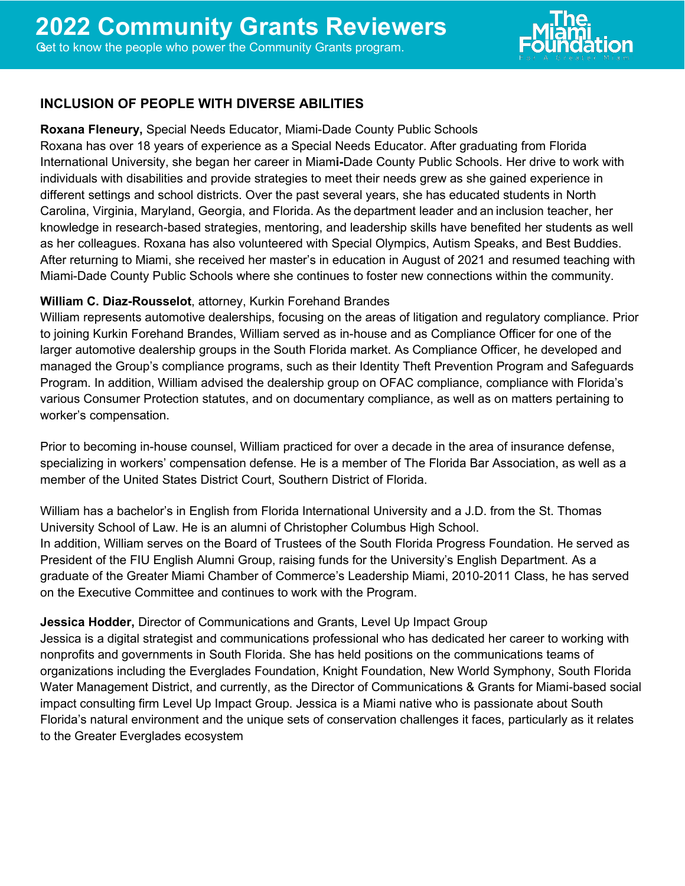

# **INCLUSION OF PEOPLE WITH DIVERSE ABILITIES**

**Roxana Fleneury,** Special Needs Educator, Miami-Dade County Public Schools Roxana has over 18 years of experience as a Special Needs Educator. After graduating from Florida International University, she began her career in Miam**i-**Dade County Public Schools. Her drive to work with individuals with disabilities and provide strategies to meet their needs grew as she gained experience in different settings and school districts. Over the past several years, she has educated students in North Carolina, Virginia, Maryland, Georgia, and Florida. As the department leader and an inclusion teacher, her knowledge in research-based strategies, mentoring, and leadership skills have benefited her students as well as her colleagues. Roxana has also volunteered with Special Olympics, Autism Speaks, and Best Buddies. After returning to Miami, she received her master's in education in August of 2021 and resumed teaching with Miami-Dade County Public Schools where she continues to foster new connections within the community.

### **William C. Diaz-Rousselot**, attorney, Kurkin Forehand Brandes

William represents automotive dealerships, focusing on the areas of litigation and regulatory compliance. Prior to joining Kurkin Forehand Brandes, William served as in-house and as Compliance Officer for one of the larger automotive dealership groups in the South Florida market. As Compliance Officer, he developed and managed the Group's compliance programs, such as their Identity Theft Prevention Program and Safeguards Program. In addition, William advised the dealership group on OFAC compliance, compliance with Florida's various Consumer Protection statutes, and on documentary compliance, as well as on matters pertaining to worker's compensation.

Prior to becoming in-house counsel, William practiced for over a decade in the area of insurance defense, specializing in workers' compensation defense. He is a member of The Florida Bar Association, as well as a member of the United States District Court, Southern District of Florida.

William has a bachelor's in English from Florida International University and a J.D. from the St. Thomas University School of Law. He is an alumni of Christopher Columbus High School. In addition, William serves on the Board of Trustees of the South Florida Progress Foundation. He served as President of the FIU English Alumni Group, raising funds for the University's English Department. As a graduate of the Greater Miami Chamber of Commerce's Leadership Miami, 2010-2011 Class, he has served on the Executive Committee and continues to work with the Program.

### **Jessica Hodder,** Director of Communications and Grants, Level Up Impact Group

Jessica is a digital strategist and communications professional who has dedicated her career to working with nonprofits and governments in South Florida. She has held positions on the communications teams of organizations including the Everglades Foundation, Knight Foundation, New World Symphony, South Florida Water Management District, and currently, as the Director of Communications & Grants for Miami-based social impact consulting firm Level Up Impact Group. Jessica is a Miami native who is passionate about South Florida's natural environment and the unique sets of conservation challenges it faces, particularly as it relates to the Greater Everglades ecosystem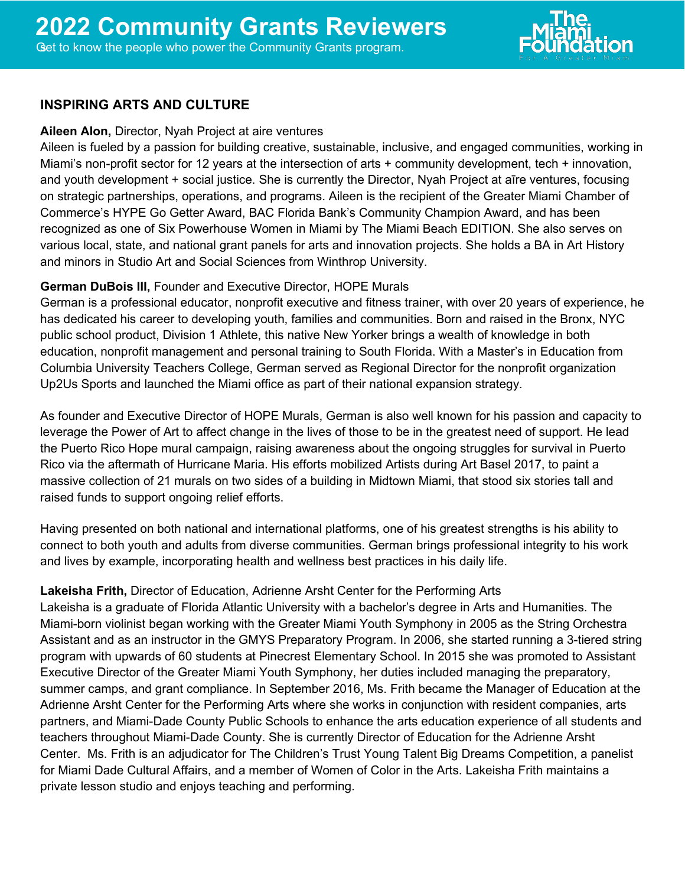

#### **INSPIRING ARTS AND CULTURE**

#### **Aileen Alon,** Director, Nyah Project at aire ventures

Aileen is fueled by a passion for building creative, sustainable, inclusive, and engaged communities, working in Miami's non-profit sector for 12 years at the intersection of arts + community development, tech + innovation, and youth development + social justice. She is currently the Director, Nyah Project at aīre ventures, focusing on strategic partnerships, operations, and programs. Aileen is the recipient of the Greater Miami Chamber of Commerce's HYPE Go Getter Award, BAC Florida Bank's Community Champion Award, and has been recognized as one of Six Powerhouse Women in Miami by The Miami Beach EDITION. She also serves on various local, state, and national grant panels for arts and innovation projects. She holds a BA in Art History and minors in Studio Art and Social Sciences from Winthrop University.

#### **German DuBois III,** Founder and Executive Director, HOPE Murals

German is a professional educator, nonprofit executive and fitness trainer, with over 20 years of experience, he has dedicated his career to developing youth, families and communities. Born and raised in the Bronx, NYC public school product, Division 1 Athlete, this native New Yorker brings a wealth of knowledge in both education, nonprofit management and personal training to South Florida. With a Master's in Education from Columbia University Teachers College, German served as Regional Director for the nonprofit organization Up2Us Sports and launched the Miami office as part of their national expansion strategy.

As founder and Executive Director of HOPE Murals, German is also well known for his passion and capacity to leverage the Power of Art to affect change in the lives of those to be in the greatest need of support. He lead the Puerto Rico Hope mural campaign, raising awareness about the ongoing struggles for survival in Puerto Rico via the aftermath of Hurricane Maria. His efforts mobilized Artists during Art Basel 2017, to paint a massive collection of 21 murals on two sides of a building in Midtown Miami, that stood six stories tall and raised funds to support ongoing relief efforts.

Having presented on both national and international platforms, one of his greatest strengths is his ability to connect to both youth and adults from diverse communities. German brings professional integrity to his work and lives by example, incorporating health and wellness best practices in his daily life.

#### **Lakeisha Frith,** Director of Education, Adrienne Arsht Center for the Performing Arts

Lakeisha is a graduate of Florida Atlantic University with a bachelor's degree in Arts and Humanities. The Miami-born violinist began working with the Greater Miami Youth Symphony in 2005 as the String Orchestra Assistant and as an instructor in the GMYS Preparatory Program. In 2006, she started running a 3-tiered string program with upwards of 60 students at Pinecrest Elementary School. In 2015 she was promoted to Assistant Executive Director of the Greater Miami Youth Symphony, her duties included managing the preparatory, summer camps, and grant compliance. In September 2016, Ms. Frith became the Manager of Education at the Adrienne Arsht Center for the Performing Arts where she works in conjunction with resident companies, arts partners, and Miami-Dade County Public Schools to enhance the arts education experience of all students and teachers throughout Miami-Dade County. She is currently Director of Education for the Adrienne Arsht Center. Ms. Frith is an adjudicator for The Children's Trust Young Talent Big Dreams Competition, a panelist for Miami Dade Cultural Affairs, and a member of Women of Color in the Arts. Lakeisha Frith maintains a private lesson studio and enjoys teaching and performing.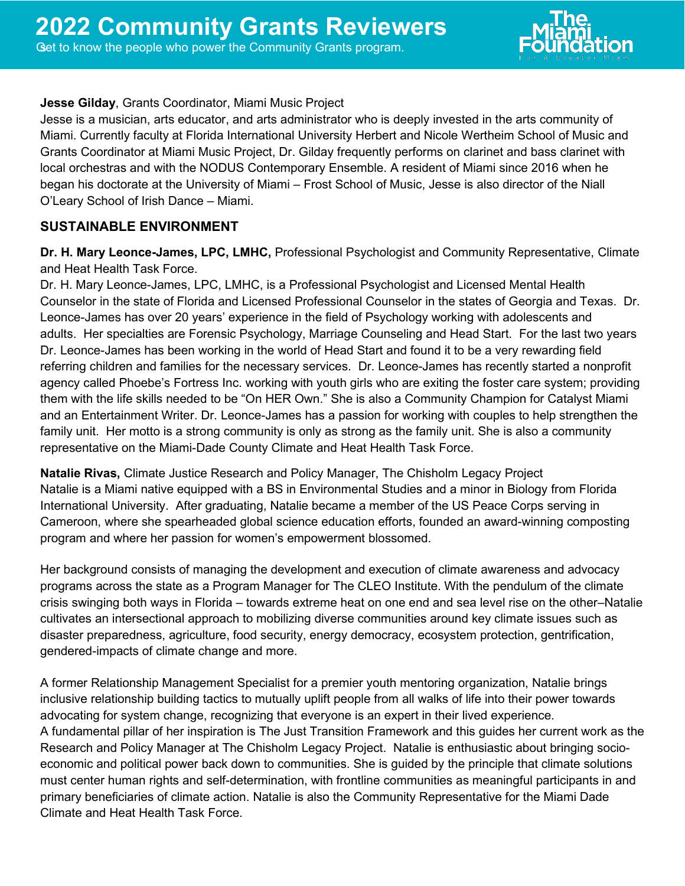

### **Jesse Gilday**, Grants Coordinator, Miami Music Project

Jesse is a musician, arts educator, and arts administrator who is deeply invested in the arts community of Miami. Currently faculty at Florida International University Herbert and Nicole Wertheim School of Music and Grants Coordinator at Miami Music Project, Dr. Gilday frequently performs on clarinet and bass clarinet with local orchestras and with the NODUS Contemporary Ensemble. A resident of Miami since 2016 when he began his doctorate at the University of Miami – Frost School of Music, Jesse is also director of the Niall O'Leary School of Irish Dance – Miami.

# **SUSTAINABLE ENVIRONMENT**

**Dr. H. Mary Leonce-James, LPC, LMHC,** Professional Psychologist and Community Representative, Climate and Heat Health Task Force.

Dr. H. Mary Leonce-James, LPC, LMHC, is a Professional Psychologist and Licensed Mental Health Counselor in the state of Florida and Licensed Professional Counselor in the states of Georgia and Texas. Dr. Leonce-James has over 20 years' experience in the field of Psychology working with adolescents and adults. Her specialties are Forensic Psychology, Marriage Counseling and Head Start. For the last two years Dr. Leonce-James has been working in the world of Head Start and found it to be a very rewarding field referring children and families for the necessary services. Dr. Leonce-James has recently started a nonprofit agency called Phoebe's Fortress Inc. working with youth girls who are exiting the foster care system; providing them with the life skills needed to be "On HER Own." She is also a Community Champion for Catalyst Miami and an Entertainment Writer. Dr. Leonce-James has a passion for working with couples to help strengthen the family unit. Her motto is a strong community is only as strong as the family unit. She is also a community representative on the Miami-Dade County Climate and Heat Health Task Force.

**Natalie Rivas,** Climate Justice Research and Policy Manager, The Chisholm Legacy Project Natalie is a Miami native equipped with a BS in Environmental Studies and a minor in Biology from Florida International University. After graduating, Natalie became a member of the US Peace Corps serving in Cameroon, where she spearheaded global science education efforts, founded an award-winning composting program and where her passion for women's empowerment blossomed.

Her background consists of managing the development and execution of climate awareness and advocacy programs across the state as a Program Manager for The CLEO Institute. With the pendulum of the climate crisis swinging both ways in Florida – towards extreme heat on one end and sea level rise on the other–Natalie cultivates an intersectional approach to mobilizing diverse communities around key climate issues such as disaster preparedness, agriculture, food security, energy democracy, ecosystem protection, gentrification, gendered-impacts of climate change and more.

A former Relationship Management Specialist for a premier youth mentoring organization, Natalie brings inclusive relationship building tactics to mutually uplift people from all walks of life into their power towards advocating for system change, recognizing that everyone is an expert in their lived experience. A fundamental pillar of her inspiration is The Just Transition Framework and this guides her current work as the Research and Policy Manager at The Chisholm Legacy Project. Natalie is enthusiastic about bringing socioeconomic and political power back down to communities. She is guided by the principle that climate solutions must center human rights and self-determination, with frontline communities as meaningful participants in and primary beneficiaries of climate action. Natalie is also the Community Representative for the Miami Dade Climate and Heat Health Task Force.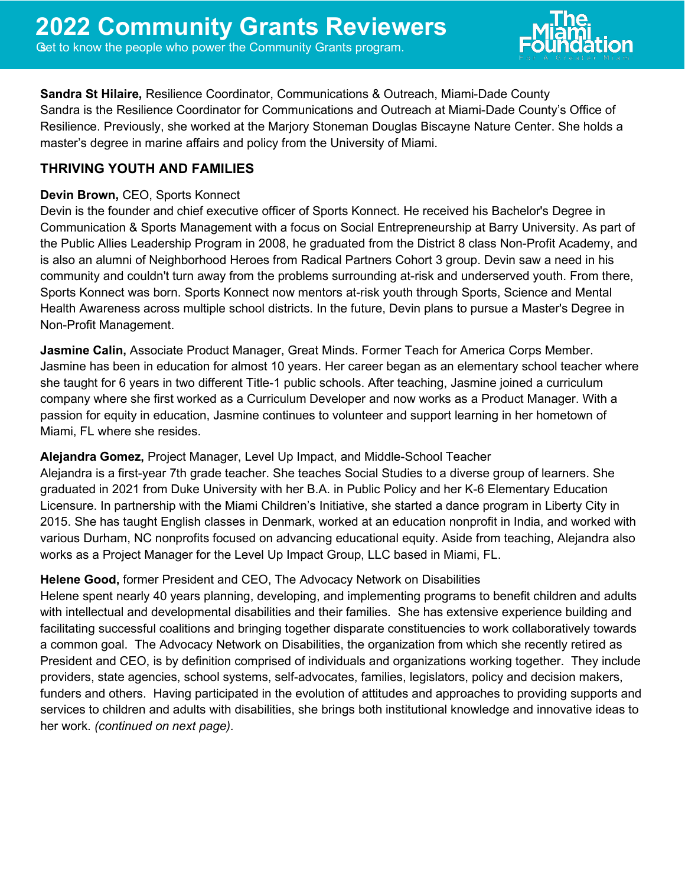

**Sandra St Hilaire,** Resilience Coordinator, Communications & Outreach, Miami-Dade County Sandra is the Resilience Coordinator for Communications and Outreach at Miami-Dade County's Office of Resilience. Previously, she worked at the Marjory Stoneman Douglas Biscayne Nature Center. She holds a master's degree in marine affairs and policy from the University of Miami.

# **THRIVING YOUTH AND FAMILIES**

## **Devin Brown,** CEO, Sports Konnect

Devin is the founder and chief executive officer of Sports Konnect. He received his Bachelor's Degree in Communication & Sports Management with a focus on Social Entrepreneurship at Barry University. As part of the Public Allies Leadership Program in 2008, he graduated from the District 8 class Non-Profit Academy, and is also an alumni of Neighborhood Heroes from Radical Partners Cohort 3 group. Devin saw a need in his community and couldn't turn away from the problems surrounding at-risk and underserved youth. From there, Sports Konnect was born. Sports Konnect now mentors at-risk youth through Sports, Science and Mental Health Awareness across multiple school districts. In the future, Devin plans to pursue a Master's Degree in Non-Profit Management.

**Jasmine Calin,** Associate Product Manager, Great Minds. Former Teach for America Corps Member. Jasmine has been in education for almost 10 years. Her career began as an elementary school teacher where she taught for 6 years in two different Title-1 public schools. After teaching, Jasmine joined a curriculum company where she first worked as a Curriculum Developer and now works as a Product Manager. With a passion for equity in education, Jasmine continues to volunteer and support learning in her hometown of Miami, FL where she resides.

## **Alejandra Gomez,** Project Manager, Level Up Impact, and Middle-School Teacher

Alejandra is a first-year 7th grade teacher. She teaches Social Studies to a diverse group of learners. She graduated in 2021 from Duke University with her B.A. in Public Policy and her K-6 Elementary Education Licensure. In partnership with the Miami Children's Initiative, she started a dance program in Liberty City in 2015. She has taught English classes in Denmark, worked at an education nonprofit in India, and worked with various Durham, NC nonprofits focused on advancing educational equity. Aside from teaching, Alejandra also works as a Project Manager for the Level Up Impact Group, LLC based in Miami, FL. 

## **Helene Good,** former President and CEO, The Advocacy Network on Disabilities

Helene spent nearly 40 years planning, developing, and implementing programs to benefit children and adults with intellectual and developmental disabilities and their families. She has extensive experience building and facilitating successful coalitions and bringing together disparate constituencies to work collaboratively towards a common goal. The Advocacy Network on Disabilities, the organization from which she recently retired as President and CEO, is by definition comprised of individuals and organizations working together. They include providers, state agencies, school systems, self-advocates, families, legislators, policy and decision makers, funders and others. Having participated in the evolution of attitudes and approaches to providing supports and services to children and adults with disabilities, she brings both institutional knowledge and innovative ideas to her work. *(continued on next page).*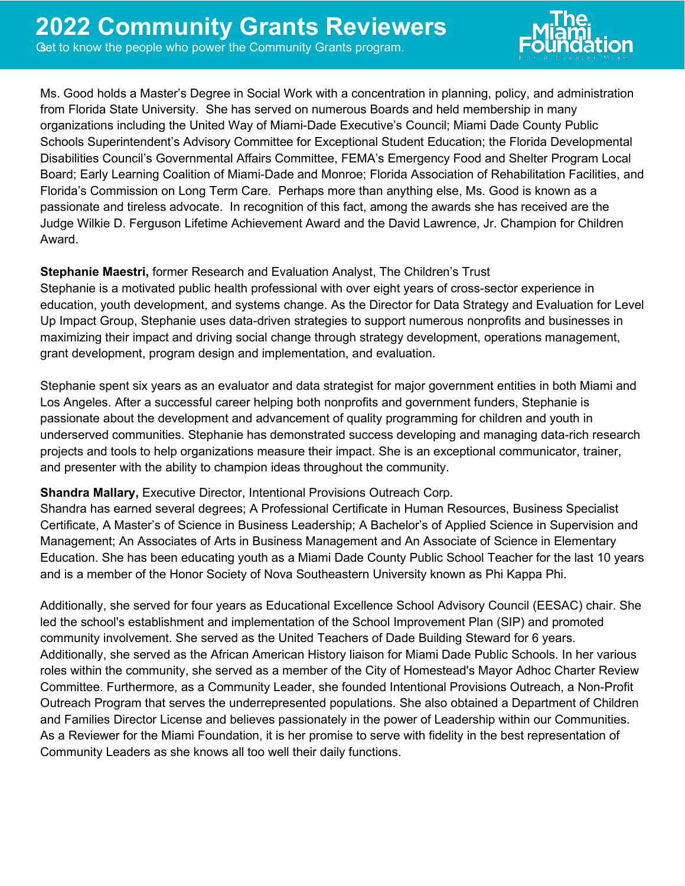

Ms. Good holds a Master's Degree in Social Work with a concentration in planning, policy, and administration from Florida State University. She has served on numerous Boards and held membership in many organizations including the United Way of Miami-Dade Executive's Council; Miami Dade County Public Schools Superintendent's Advisory Committee for Exceptional Student Education; the Florida Developmental Disabilities Council's Governmental Affairs Committee, FEMA's Emergency Food and Shelter Program Local Board; Early Learning Coalition of Miami-Dade and Monroe; Florida Association of Rehabilitation Facilities, and Florida's Commission on Long Term Care. Perhaps more than anything else, Ms. Good is known as a passionate and tireless advocate. In recognition of this fact, among the awards she has received are the Judge Wilkie D. Ferguson Lifetime Achievement Award and the David Lawrence, Jr. Champion for Children Award.

## **Stephanie Maestri,** former Research and Evaluation Analyst, The Children's Trust

Stephanie is a motivated public health professional with over eight years of cross-sector experience in education, youth development, and systems change. As the Director for Data Strategy and Evaluation for Level Up Impact Group, Stephanie uses data-driven strategies to support numerous nonprofits and businesses in maximizing their impact and driving social change through strategy development, operations management, grant development, program design and implementation, and evaluation.

Stephanie spent six years as an evaluator and data strategist for major government entities in both Miami and Los Angeles. After a successful career helping both nonprofits and government funders, Stephanie is passionate about the development and advancement of quality programming for children and youth in underserved communities. Stephanie has demonstrated success developing and managing data-rich research projects and tools to help organizations measure their impact. She is an exceptional communicator, trainer, and presenter with the ability to champion ideas throughout the community.

### **Shandra Mallary,** Executive Director, Intentional Provisions Outreach Corp.

Shandra has earned several degrees; A Professional Certificate in Human Resources, Business Specialist Certificate, A Master's of Science in Business Leadership; A Bachelor's of Applied Science in Supervision and Management; An Associates of Arts in Business Management and An Associate of Science in Elementary Education. She has been educating youth as a Miami Dade County Public School Teacher for the last 10 years and is a member of the Honor Society of Nova Southeastern University known as Phi Kappa Phi.

Additionally, she served for four years as Educational Excellence School Advisory Council (EESAC) chair. She led the school's establishment and implementation of the School Improvement Plan (SIP) and promoted community involvement. She served as the United Teachers of Dade Building Steward for 6 years. Additionally, she served as the African American History liaison for Miami Dade Public Schools. In her various roles within the community, she served as a member of the City of Homestead's Mayor Adhoc Charter Review Committee. Furthermore, as a Community Leader, she founded Intentional Provisions Outreach, a Non-Profit Outreach Program that serves the underrepresented populations. She also obtained a Department of Children and Families Director License and believes passionately in the power of Leadership within our Communities. As a Reviewer for the Miami Foundation, it is her promise to serve with fidelity in the best representation of Community Leaders as she knows all too well their daily functions.